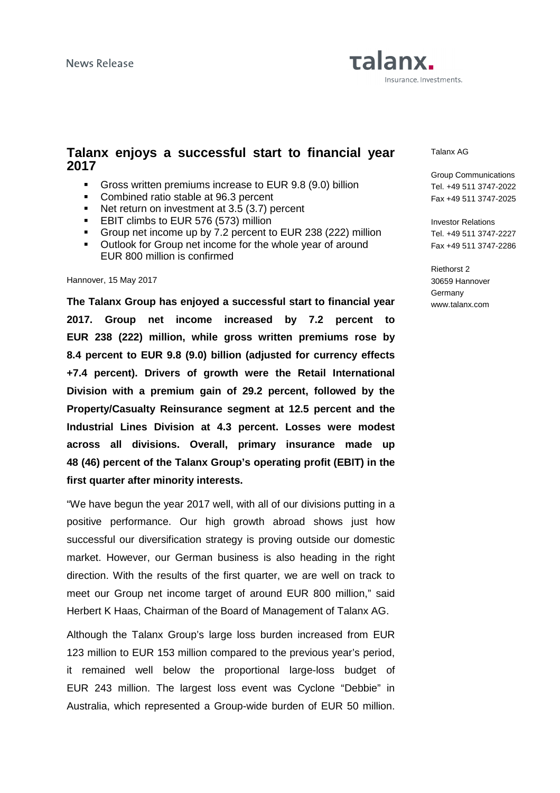# Talanx. Insurance. Investments.

### **Talanx enjoys a successful start to financial year 2017**

- Gross written premiums increase to EUR 9.8 (9.0) billion
- **Combined ratio stable at 96.3 percent**
- Net return on investment at 3.5 (3.7) percent
- **EBIT climbs to EUR 576 (573) million**
- Group net income up by 7.2 percent to EUR 238 (222) million
- **Outlook for Group net income for the whole year of around** EUR 800 million is confirmed

#### Hannover, 15 May 2017

**The Talanx Group has enjoyed a successful start to financial year 2017. Group net income increased by 7.2 percent to EUR 238 (222) million, while gross written premiums rose by 8.4 percent to EUR 9.8 (9.0) billion (adjusted for currency effects +7.4 percent). Drivers of growth were the Retail International Division with a premium gain of 29.2 percent, followed by the Property/Casualty Reinsurance segment at 12.5 percent and the Industrial Lines Division at 4.3 percent. Losses were modest across all divisions. Overall, primary insurance made up 48 (46) percent of the Talanx Group's operating profit (EBIT) in the first quarter after minority interests.** 

"We have begun the year 2017 well, with all of our divisions putting in a positive performance. Our high growth abroad shows just how successful our diversification strategy is proving outside our domestic market. However, our German business is also heading in the right direction. With the results of the first quarter, we are well on track to meet our Group net income target of around EUR 800 million," said Herbert K Haas, Chairman of the Board of Management of Talanx AG.

Although the Talanx Group's large loss burden increased from EUR 123 million to EUR 153 million compared to the previous year's period, it remained well below the proportional large-loss budget of EUR 243 million. The largest loss event was Cyclone "Debbie" in Australia, which represented a Group-wide burden of EUR 50 million. Talanx AG

Group Communications Tel. +49 511 3747-2022 Fax +49 511 3747-2025

Investor Relations Tel. +49 511 3747-2227 Fax +49 511 3747-2286

Riethorst 2 30659 Hannover **Germany** www.talanx.com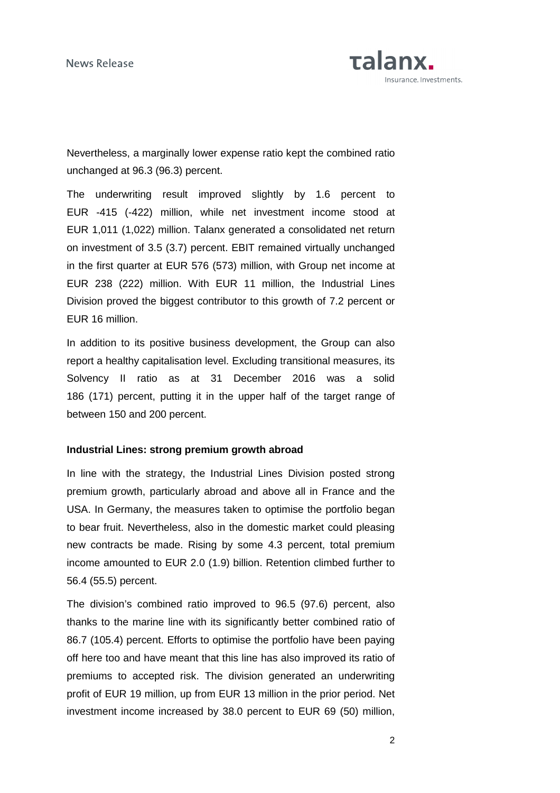

Nevertheless, a marginally lower expense ratio kept the combined ratio unchanged at 96.3 (96.3) percent.

The underwriting result improved slightly by 1.6 percent to EUR -415 (-422) million, while net investment income stood at EUR 1,011 (1,022) million. Talanx generated a consolidated net return on investment of 3.5 (3.7) percent. EBIT remained virtually unchanged in the first quarter at EUR 576 (573) million, with Group net income at EUR 238 (222) million. With EUR 11 million, the Industrial Lines Division proved the biggest contributor to this growth of 7.2 percent or EUR 16 million.

In addition to its positive business development, the Group can also report a healthy capitalisation level. Excluding transitional measures, its Solvency II ratio as at 31 December 2016 was a solid 186 (171) percent, putting it in the upper half of the target range of between 150 and 200 percent.

### **Industrial Lines: strong premium growth abroad**

In line with the strategy, the Industrial Lines Division posted strong premium growth, particularly abroad and above all in France and the USA. In Germany, the measures taken to optimise the portfolio began to bear fruit. Nevertheless, also in the domestic market could pleasing new contracts be made. Rising by some 4.3 percent, total premium income amounted to EUR 2.0 (1.9) billion. Retention climbed further to 56.4 (55.5) percent.

The division's combined ratio improved to 96.5 (97.6) percent, also thanks to the marine line with its significantly better combined ratio of 86.7 (105.4) percent. Efforts to optimise the portfolio have been paying off here too and have meant that this line has also improved its ratio of premiums to accepted risk. The division generated an underwriting profit of EUR 19 million, up from EUR 13 million in the prior period. Net investment income increased by 38.0 percent to EUR 69 (50) million,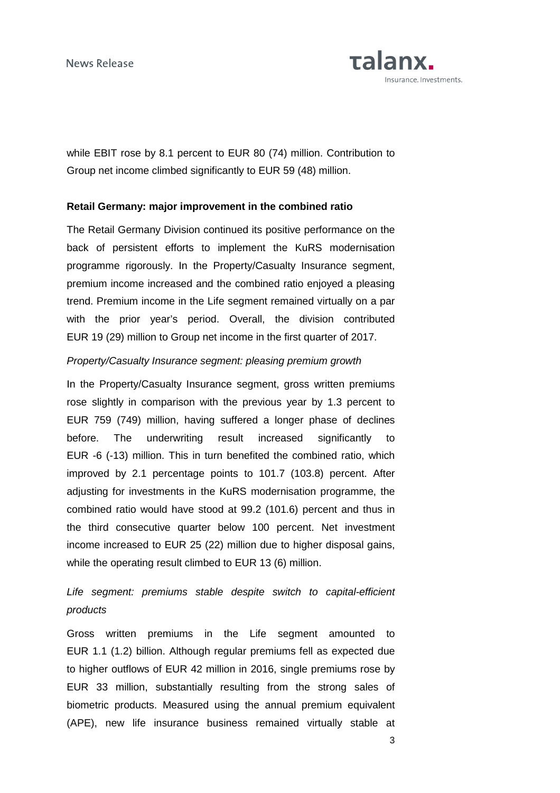

while EBIT rose by 8.1 percent to EUR 80 (74) million. Contribution to Group net income climbed significantly to EUR 59 (48) million.

#### **Retail Germany: major improvement in the combined ratio**

The Retail Germany Division continued its positive performance on the back of persistent efforts to implement the KuRS modernisation programme rigorously. In the Property/Casualty Insurance segment, premium income increased and the combined ratio enjoyed a pleasing trend. Premium income in the Life segment remained virtually on a par with the prior year's period. Overall, the division contributed EUR 19 (29) million to Group net income in the first quarter of 2017.

### Property/Casualty Insurance segment: pleasing premium growth

In the Property/Casualty Insurance segment, gross written premiums rose slightly in comparison with the previous year by 1.3 percent to EUR 759 (749) million, having suffered a longer phase of declines before. The underwriting result increased significantly to EUR -6 (-13) million. This in turn benefited the combined ratio, which improved by 2.1 percentage points to 101.7 (103.8) percent. After adjusting for investments in the KuRS modernisation programme, the combined ratio would have stood at 99.2 (101.6) percent and thus in the third consecutive quarter below 100 percent. Net investment income increased to EUR 25 (22) million due to higher disposal gains, while the operating result climbed to EUR 13 (6) million.

## Life segment: premiums stable despite switch to capital-efficient products

Gross written premiums in the Life segment amounted to EUR 1.1 (1.2) billion. Although regular premiums fell as expected due to higher outflows of EUR 42 million in 2016, single premiums rose by EUR 33 million, substantially resulting from the strong sales of biometric products. Measured using the annual premium equivalent (APE), new life insurance business remained virtually stable at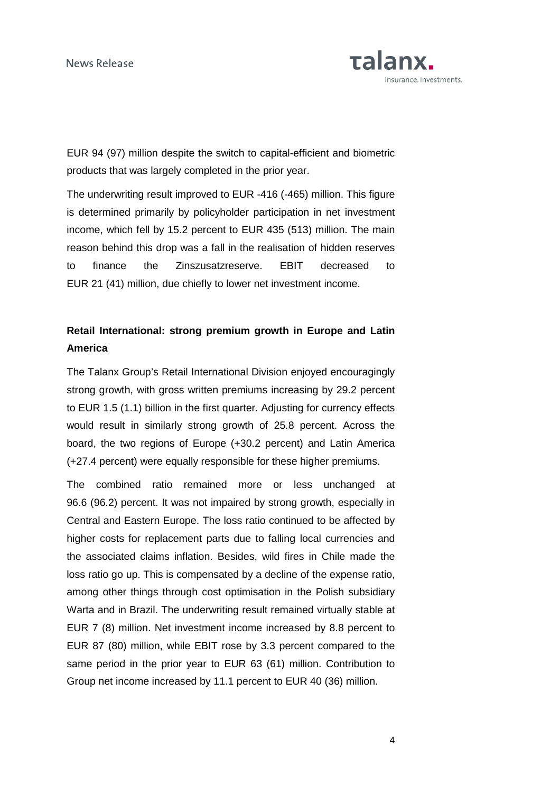

EUR 94 (97) million despite the switch to capital-efficient and biometric products that was largely completed in the prior year.

The underwriting result improved to EUR -416 (-465) million. This figure is determined primarily by policyholder participation in net investment income, which fell by 15.2 percent to EUR 435 (513) million. The main reason behind this drop was a fall in the realisation of hidden reserves to finance the Zinszusatzreserve. EBIT decreased to EUR 21 (41) million, due chiefly to lower net investment income.

## **Retail International: strong premium growth in Europe and Latin America**

The Talanx Group's Retail International Division enjoyed encouragingly strong growth, with gross written premiums increasing by 29.2 percent to EUR 1.5 (1.1) billion in the first quarter. Adjusting for currency effects would result in similarly strong growth of 25.8 percent. Across the board, the two regions of Europe (+30.2 percent) and Latin America (+27.4 percent) were equally responsible for these higher premiums.

The combined ratio remained more or less unchanged at 96.6 (96.2) percent. It was not impaired by strong growth, especially in Central and Eastern Europe. The loss ratio continued to be affected by higher costs for replacement parts due to falling local currencies and the associated claims inflation. Besides, wild fires in Chile made the loss ratio go up. This is compensated by a decline of the expense ratio, among other things through cost optimisation in the Polish subsidiary Warta and in Brazil. The underwriting result remained virtually stable at EUR 7 (8) million. Net investment income increased by 8.8 percent to EUR 87 (80) million, while EBIT rose by 3.3 percent compared to the same period in the prior year to EUR 63 (61) million. Contribution to Group net income increased by 11.1 percent to EUR 40 (36) million.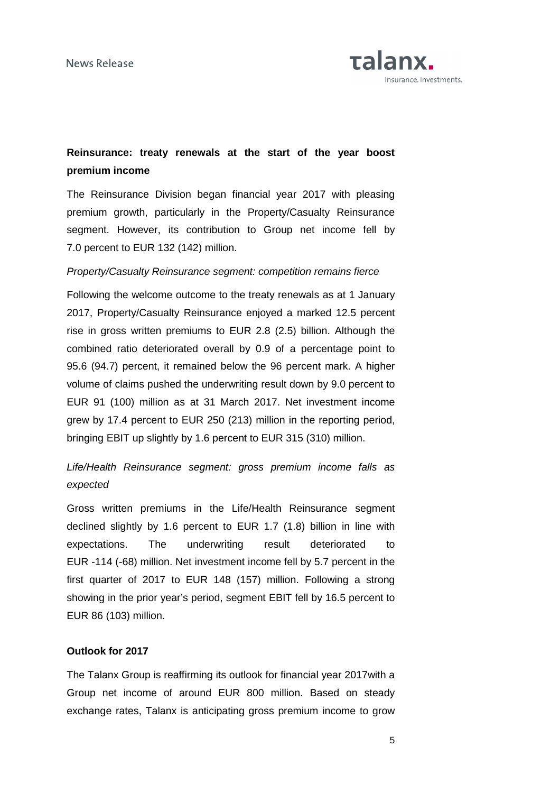

## **Reinsurance: treaty renewals at the start of the year boost premium income**

The Reinsurance Division began financial year 2017 with pleasing premium growth, particularly in the Property/Casualty Reinsurance segment. However, its contribution to Group net income fell by 7.0 percent to EUR 132 (142) million.

### Property/Casualty Reinsurance segment: competition remains fierce

Following the welcome outcome to the treaty renewals as at 1 January 2017, Property/Casualty Reinsurance enjoyed a marked 12.5 percent rise in gross written premiums to EUR 2.8 (2.5) billion. Although the combined ratio deteriorated overall by 0.9 of a percentage point to 95.6 (94.7) percent, it remained below the 96 percent mark. A higher volume of claims pushed the underwriting result down by 9.0 percent to EUR 91 (100) million as at 31 March 2017. Net investment income grew by 17.4 percent to EUR 250 (213) million in the reporting period, bringing EBIT up slightly by 1.6 percent to EUR 315 (310) million.

## Life/Health Reinsurance segment: gross premium income falls as expected

Gross written premiums in the Life/Health Reinsurance segment declined slightly by 1.6 percent to EUR 1.7 (1.8) billion in line with expectations. The underwriting result deteriorated to EUR -114 (-68) million. Net investment income fell by 5.7 percent in the first quarter of 2017 to EUR 148 (157) million. Following a strong showing in the prior year's period, segment EBIT fell by 16.5 percent to EUR 86 (103) million.

### **Outlook for 2017**

The Talanx Group is reaffirming its outlook for financial year 2017with a Group net income of around EUR 800 million. Based on steady exchange rates, Talanx is anticipating gross premium income to grow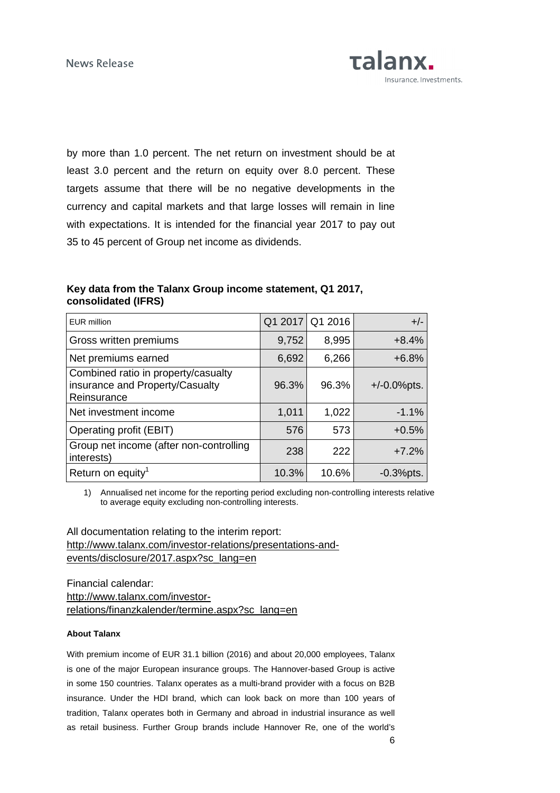by more than 1.0 percent. The net return on investment should be at least 3.0 percent and the return on equity over 8.0 percent. These targets assume that there will be no negative developments in the currency and capital markets and that large losses will remain in line with expectations. It is intended for the financial year 2017 to pay out 35 to 45 percent of Group net income as dividends.

### **Key data from the Talanx Group income statement, Q1 2017, consolidated (IFRS)**

| <b>EUR million</b>                                                                    |       | Q1 2017 Q1 2016 | $+/-$           |
|---------------------------------------------------------------------------------------|-------|-----------------|-----------------|
| Gross written premiums                                                                | 9,752 | 8,995           | $+8.4%$         |
| Net premiums earned                                                                   | 6,692 | 6,266           | $+6.8%$         |
| Combined ratio in property/casualty<br>insurance and Property/Casualty<br>Reinsurance | 96.3% | 96.3%           | $+/-0.0\%$ pts. |
| Net investment income                                                                 | 1,011 | 1,022           | $-1.1%$         |
| Operating profit (EBIT)                                                               | 576   | 573             | $+0.5%$         |
| Group net income (after non-controlling<br>interests)                                 | 238   | 222             | $+7.2%$         |
| Return on equity <sup>1</sup>                                                         | 10.3% | 10.6%           | $-0.3%$ pts.    |

1) Annualised net income for the reporting period excluding non-controlling interests relative to average equity excluding non-controlling interests.

All documentation relating to the interim report: http://www.talanx.com/investor-relations/presentations-andevents/disclosure/2017.aspx?sc\_lang=en

Financial calendar: http://www.talanx.com/investorrelations/finanzkalender/termine.aspx?sc\_lang=en

#### **About Talanx**

With premium income of EUR 31.1 billion (2016) and about 20,000 employees, Talanx is one of the major European insurance groups. The Hannover-based Group is active in some 150 countries. Talanx operates as a multi-brand provider with a focus on B2B insurance. Under the HDI brand, which can look back on more than 100 years of tradition, Talanx operates both in Germany and abroad in industrial insurance as well as retail business. Further Group brands include Hannover Re, one of the world's

**Talanx.** 

Insurance. Investments.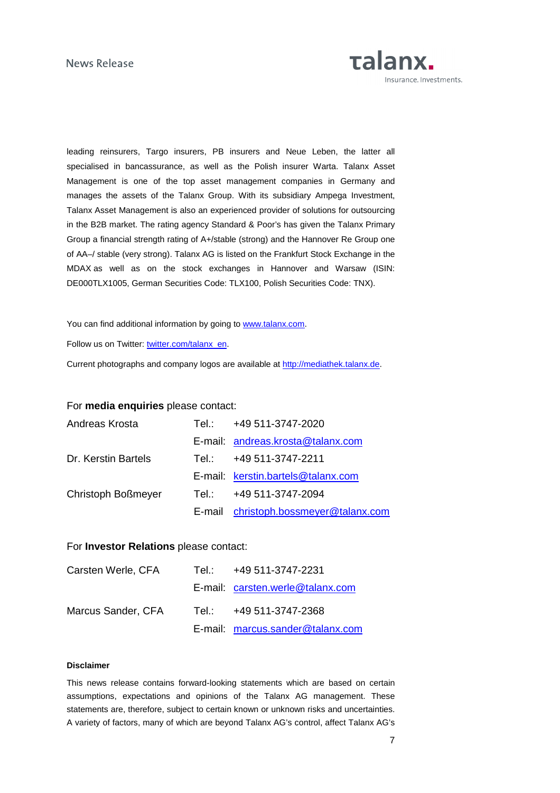

leading reinsurers, Targo insurers, PB insurers and Neue Leben, the latter all specialised in bancassurance, as well as the Polish insurer Warta. Talanx Asset Management is one of the top asset management companies in Germany and manages the assets of the Talanx Group. With its subsidiary Ampega Investment, Talanx Asset Management is also an experienced provider of solutions for outsourcing in the B2B market. The rating agency Standard & Poor's has given the Talanx Primary Group a financial strength rating of A+/stable (strong) and the Hannover Re Group one of AA–/ stable (very strong). Talanx AG is listed on the Frankfurt Stock Exchange in the MDAX as well as on the stock exchanges in Hannover and Warsaw (ISIN: DE000TLX1005, German Securities Code: TLX100, Polish Securities Code: TNX).

You can find additional information by going to www.talanx.com.

Follow us on Twitter: twitter.com/talanx\_en.

Current photographs and company logos are available at http://mediathek.talanx.de.

#### For **media enquiries** please contact:

| Andreas Krosta      | Tel.: +49 511-3747-2020               |
|---------------------|---------------------------------------|
|                     | E-mail: andreas.krosta@talanx.com     |
| Dr. Kerstin Bartels | Tel.: +49 511-3747-2211               |
|                     | E-mail: kerstin.bartels@talanx.com    |
| Christoph Boßmeyer  | Tel.: +49 511-3747-2094               |
|                     | E-mail christoph.bossmeyer@talanx.com |

#### For **Investor Relations** please contact:

| Carsten Werle, CFA | Tel.: +49 511-3747-2231          |
|--------------------|----------------------------------|
|                    | E-mail: carsten.werle@talanx.com |
| Marcus Sander, CFA | Tel.: +49 511-3747-2368          |
|                    | E-mail: marcus.sander@talanx.com |

#### **Disclaimer**

This news release contains forward-looking statements which are based on certain assumptions, expectations and opinions of the Talanx AG management. These statements are, therefore, subject to certain known or unknown risks and uncertainties. A variety of factors, many of which are beyond Talanx AG's control, affect Talanx AG's